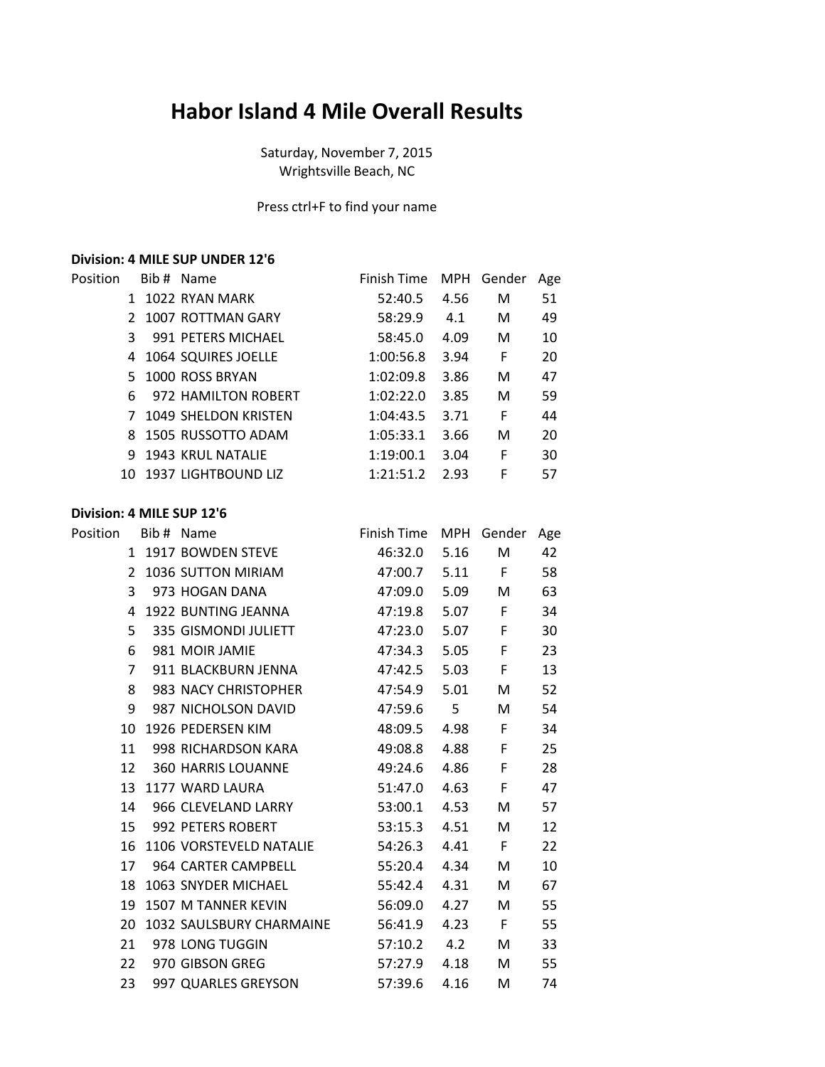## **Habor Island 4 Mile Overall Results**

Saturday, November 7, 2015 Wrightsville Beach, NC

Press ctrl+F to find your name

## **Division: 4 MILE SUP UNDER 12'6**

| Position |     | Bib # Name             | Finish Time MPH |      | Gender | Age |
|----------|-----|------------------------|-----------------|------|--------|-----|
|          |     | 1022 RYAN MARK         | 52:40.5         | 4.56 | M      | 51  |
|          |     | 2 1007 ROTTMAN GARY    | 58:29.9         | 4.1  | M      | 49  |
|          | 3   | 991 PETERS MICHAEL     | 58:45.0         | 4.09 | M      | 10  |
|          |     | 4 1064 SQUIRES JOELLE  | 1:00:56.8       | 3.94 | F      | 20  |
|          |     | 5 1000 ROSS BRYAN      | 1:02:09.8       | 3.86 | M      | 47  |
|          | 6   | 972 HAMILTON ROBERT    | 1:02:22.0       | 3.85 | M      | 59  |
|          |     | 7 1049 SHELDON KRISTEN | 1:04:43.5       | 3.71 | F      | 44  |
|          |     | 8 1505 RUSSOTTO ADAM   | 1:05:33.1       | 3.66 | M      | 20  |
|          |     | 9 1943 KRUL NATALIE    | 1:19:00.1       | 3.04 | F      | 30  |
|          | 10. | 1937 LIGHTBOUND LIZ    | 1:21:51.2       | 2.93 | F      | 57  |

## **Division: 4 MILE SUP 12'6**

| Position       | Bib # Name               | Finish Time MPH Gender |      |              | Age |
|----------------|--------------------------|------------------------|------|--------------|-----|
|                | 1 1917 BOWDEN STEVE      | 46:32.0                | 5.16 | M            | 42  |
| $\mathfrak{D}$ | 1036 SUTTON MIRIAM       | 47:00.7                | 5.11 | $\mathsf{F}$ | 58  |
| 3              | 973 HOGAN DANA           | 47:09.0                | 5.09 | M            | 63  |
| 4              | 1922 BUNTING JEANNA      | 47:19.8                | 5.07 | F            | 34  |
| 5              | 335 GISMONDI JULIETT     | 47:23.0                | 5.07 | F            | 30  |
| 6              | 981 MOIR JAMIE           | 47:34.3                | 5.05 | F            | 23  |
| 7              | 911 BLACKBURN JENNA      | 47:42.5                | 5.03 | F            | 13  |
| 8              | 983 NACY CHRISTOPHER     | 47:54.9                | 5.01 | M            | 52  |
| 9              | 987 NICHOLSON DAVID      | 47:59.6 5              |      | M            | 54  |
| 10             | 1926 PEDERSEN KIM        | 48:09.5                | 4.98 | F            | 34  |
| 11             | 998 RICHARDSON KARA      | 49:08.8                | 4.88 | F            | 25  |
| 12             | 360 HARRIS LOUANNE       | 49:24.6                | 4.86 | F            | 28  |
| 13             | 1177 WARD LAURA          | 51:47.0                | 4.63 | F            | 47  |
| 14             | 966 CLEVELAND LARRY      | 53:00.1                | 4.53 | M            | 57  |
|                | 15 992 PETERS ROBERT     | 53:15.3                | 4.51 | M            | 12  |
| 16             | 1106 VORSTEVELD NATALIE  | 54:26.3                | 4.41 | F.           | 22  |
| 17             | 964 CARTER CAMPBELL      | 55:20.4                | 4.34 | M            | 10  |
| 18             | 1063 SNYDER MICHAEL      | 55:42.4                | 4.31 | M            | 67  |
|                | 19 1507 M TANNER KEVIN   | 56:09.0                | 4.27 | M            | 55  |
| 20             | 1032 SAULSBURY CHARMAINE | 56:41.9                | 4.23 | F            | 55  |
| 21             | 978 LONG TUGGIN          | 57:10.2 4.2            |      | M            | 33  |
| 22             | 970 GIBSON GREG          | 57:27.9                | 4.18 | M            | 55  |
| 23             | 997 QUARLES GREYSON      | 57:39.6                | 4.16 | M            | 74  |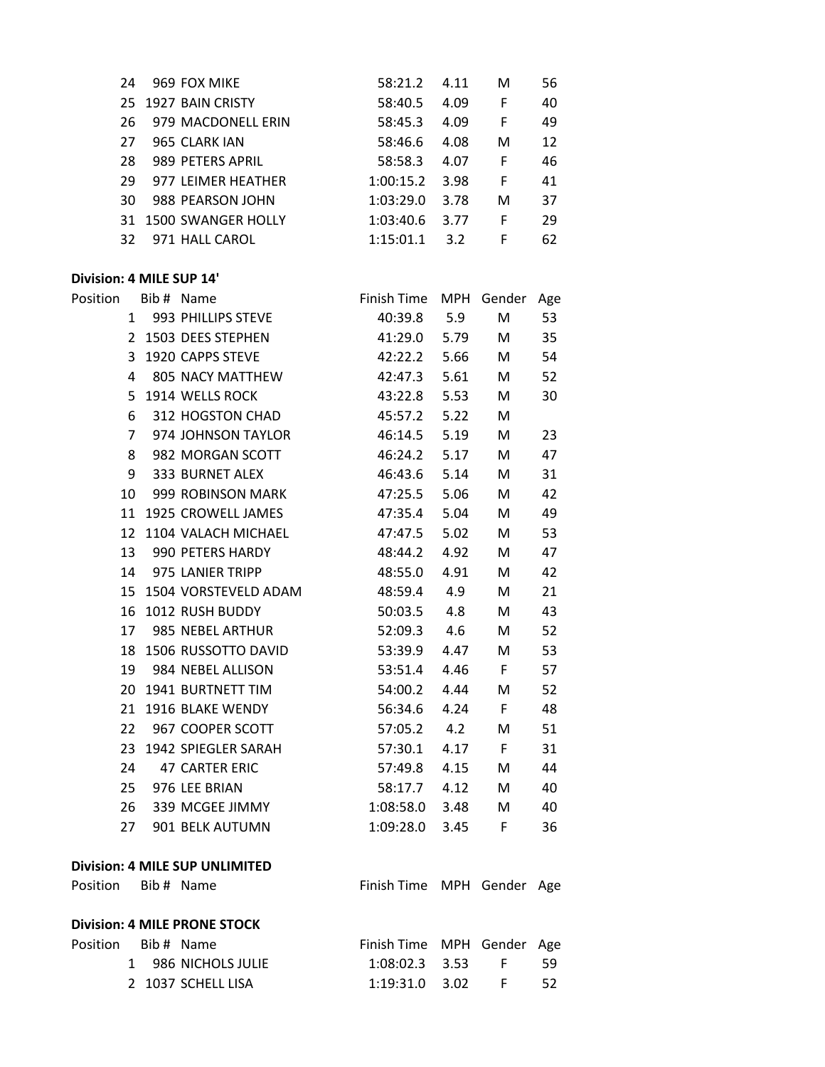| 24  | 969 FOX MIKE          | 58:21.2   | 4.11 | M | 56 |
|-----|-----------------------|-----------|------|---|----|
|     | 25 1927 BAIN CRISTY   | 58:40.5   | 4.09 | F | 40 |
| 26. | 979 MACDONELL ERIN    | 58:45.3   | 4.09 | F | 49 |
| 27  | 965 CLARK JAN         | 58:46.6   | 4.08 | M | 12 |
| 28  | 989 PETERS APRIL      | 58:58.3   | 4.07 | F | 46 |
| 29  | 977 LEIMER HEATHER    | 1:00:15.2 | 3.98 | F | 41 |
| 30  | 988 PEARSON JOHN      | 1:03:29.0 | 3.78 | М | 37 |
|     | 31 1500 SWANGER HOLLY | 1:03:40.6 | 3.77 | F | 29 |
| 32  | 971 HALL CAROL        | 1:15:01.1 | 3.2  | F | 62 |

## **Division: 4 MILE SUP 14'**

| Position          | Bib # Name                            | Finish Time                    |      | MPH Gender      | Age |
|-------------------|---------------------------------------|--------------------------------|------|-----------------|-----|
| 1                 | 993 PHILLIPS STEVE                    | 40:39.8                        | 5.9  | M               | 53  |
|                   | 2 1503 DEES STEPHEN                   | 41:29.0                        | 5.79 | M               | 35  |
| 3                 | 1920 CAPPS STEVE                      | 42:22.2                        | 5.66 | M               | 54  |
| 4                 | 805 NACY MATTHEW                      | 42:47.3                        | 5.61 | M               | 52  |
| 5                 | 1914 WELLS ROCK                       | 43:22.8                        | 5.53 | M               | 30  |
| 6                 | 312 HOGSTON CHAD                      | 45:57.2                        | 5.22 | M               |     |
| $\overline{7}$    | 974 JOHNSON TAYLOR                    | 46:14.5                        | 5.19 | M               | 23  |
| 8                 | 982 MORGAN SCOTT                      | 46:24.2                        | 5.17 | M               | 47  |
| 9                 | <b>333 BURNET ALEX</b>                | 46:43.6                        | 5.14 | M               | 31  |
| 10                | 999 ROBINSON MARK                     | 47:25.5                        | 5.06 | M               | 42  |
|                   | 11 1925 CROWELL JAMES                 | 47:35.4                        | 5.04 | M               | 49  |
|                   | 12 1104 VALACH MICHAEL                | 47:47.5                        | 5.02 | M               | 53  |
| 13                | 990 PETERS HARDY                      | 48:44.2                        | 4.92 | M               | 47  |
| 14                | 975 LANIER TRIPP                      | 48:55.0                        | 4.91 | M               | 42  |
|                   | 15 1504 VORSTEVELD ADAM               | 48:59.4                        | 4.9  | M               | 21  |
| 16                | 1012 RUSH BUDDY                       | 50:03.5                        | 4.8  | M               | 43  |
| 17                | 985 NEBEL ARTHUR                      | 52:09.3                        | 4.6  | M               | 52  |
| 18                | 1506 RUSSOTTO DAVID                   | 53:39.9                        | 4.47 | M               | 53  |
| 19                | 984 NEBEL ALLISON                     | 53:51.4                        | 4.46 | $\mathsf{F}$    | 57  |
|                   | 20 1941 BURTNETT TIM                  | 54:00.2                        | 4.44 | M               | 52  |
| 21                | 1916 BLAKE WENDY                      | 56:34.6                        | 4.24 | F               | 48  |
| 22                | 967 COOPER SCOTT                      | 57:05.2                        | 4.2  | M               | 51  |
| 23                | 1942 SPIEGLER SARAH                   | 57:30.1                        | 4.17 | F               | 31  |
| 24                | <b>47 CARTER ERIC</b>                 | 57:49.8                        | 4.15 | M               | 44  |
| 25                | 976 LEE BRIAN                         | 58:17.7                        | 4.12 | M               | 40  |
| 26                | 339 MCGEE JIMMY                       | 1:08:58.0                      | 3.48 | M               | 40  |
| 27                | 901 BELK AUTUMN                       | 1:09:28.0                      | 3.45 | F.              | 36  |
|                   | <b>Division: 4 MILE SUP UNLIMITED</b> |                                |      |                 |     |
| Position          | Bib # Name                            | Finish Time MPH Gender Age     |      |                 |     |
|                   | <b>Division: 4 MILE PRONE STOCK</b>   |                                |      |                 |     |
| $D = \{L, m, m\}$ |                                       | $\Gamma$ intale $\Gamma$ insen |      | MNII Candau Aac |     |

| Position Bib#Name |  |                     | Finish Time MPH Gender Age |  |      |
|-------------------|--|---------------------|----------------------------|--|------|
|                   |  | 1 986 NICHOLS JULIE | 1:08:02.3 3.53 F           |  | - 59 |
|                   |  | 2 1037 SCHELL LISA  | 1:19:31.0 3.02             |  | - 52 |